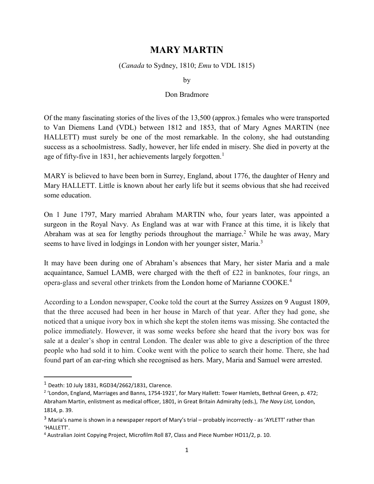## MARY MARTIN

## (Canada to Sydney, 1810; Emu to VDL 1815)

by

## Don Bradmore

Of the many fascinating stories of the lives of the 13,500 (approx.) females who were transported to Van Diemens Land (VDL) between 1812 and 1853, that of Mary Agnes MARTIN (nee HALLETT) must surely be one of the most remarkable. In the colony, she had outstanding success as a schoolmistress. Sadly, however, her life ended in misery. She died in poverty at the age of fifty-five in 1831, her achievements largely forgotten.<sup>1</sup>

MARY is believed to have been born in Surrey, England, about 1776, the daughter of Henry and Mary HALLETT. Little is known about her early life but it seems obvious that she had received some education.

On 1 June 1797, Mary married Abraham MARTIN who, four years later, was appointed a surgeon in the Royal Navy. As England was at war with France at this time, it is likely that Abraham was at sea for lengthy periods throughout the marriage.<sup>2</sup> While he was away, Mary seems to have lived in lodgings in London with her younger sister, Maria.<sup>3</sup>

It may have been during one of Abraham's absences that Mary, her sister Maria and a male acquaintance, Samuel LAMB, were charged with the theft of £22 in banknotes, four rings, an opera-glass and several other trinkets from the London home of Marianne COOKE.<sup>4</sup>

According to a London newspaper, Cooke told the court at the Surrey Assizes on 9 August 1809, that the three accused had been in her house in March of that year. After they had gone, she noticed that a unique ivory box in which she kept the stolen items was missing. She contacted the police immediately. However, it was some weeks before she heard that the ivory box was for sale at a dealer's shop in central London. The dealer was able to give a description of the three people who had sold it to him. Cooke went with the police to search their home. There, she had found part of an ear-ring which she recognised as hers. Mary, Maria and Samuel were arrested.

 $1$  Death: 10 July 1831, RGD34/2662/1831, Clarence.

<sup>2</sup> 'London, England, Marriages and Banns, 1754-1921', for Mary Hallett: Tower Hamlets, Bethnal Green, p. 472; Abraham Martin, enlistment as medical officer, 1801, in Great Britain Admiralty (eds.), The Navy List, London, 1814, p. 39.

<sup>3</sup> Maria's name is shown in a newspaper report of Mary's trial – probably incorrectly - as 'AYLETT' rather than 'HALLETT'.

<sup>&</sup>lt;sup>4</sup> Australian Joint Copying Project, Microfilm Roll 87, Class and Piece Number HO11/2, p. 10.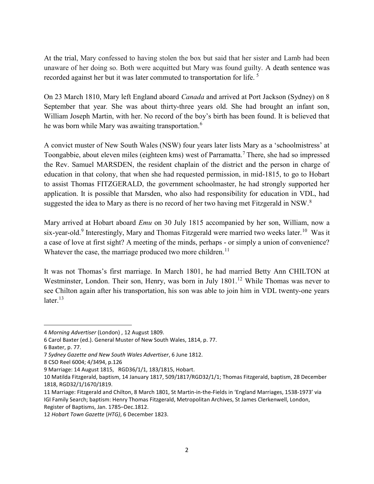At the trial, Mary confessed to having stolen the box but said that her sister and Lamb had been unaware of her doing so. Both were acquitted but Mary was found guilty. A death sentence was recorded against her but it was later commuted to transportation for life.<sup>5</sup>

On 23 March 1810, Mary left England aboard Canada and arrived at Port Jackson (Sydney) on 8 September that year. She was about thirty-three years old. She had brought an infant son, William Joseph Martin, with her. No record of the boy's birth has been found. It is believed that he was born while Mary was awaiting transportation.<sup>6</sup>

A convict muster of New South Wales (NSW) four years later lists Mary as a 'schoolmistress' at Toongabbie, about eleven miles (eighteen kms) west of Parramatta.<sup>7</sup> There, she had so impressed the Rev. Samuel MARSDEN, the resident chaplain of the district and the person in charge of education in that colony, that when she had requested permission, in mid-1815, to go to Hobart to assist Thomas FITZGERALD, the government schoolmaster, he had strongly supported her application. It is possible that Marsden, who also had responsibility for education in VDL, had suggested the idea to Mary as there is no record of her two having met Fitzgerald in NSW. $8$ 

Mary arrived at Hobart aboard *Emu* on 30 July 1815 accompanied by her son, William, now a six-year-old.<sup>9</sup> Interestingly, Mary and Thomas Fitzgerald were married two weeks later.<sup>10</sup> Was it a case of love at first sight? A meeting of the minds, perhaps - or simply a union of convenience? Whatever the case, the marriage produced two more children.<sup>11</sup>

It was not Thomas's first marriage. In March 1801, he had married Betty Ann CHILTON at Westminster, London. Their son, Henry, was born in July 1801.<sup>12</sup> While Thomas was never to see Chilton again after his transportation, his son was able to join him in VDL twenty-one years later. $^{13}$ 

<sup>4</sup> Morning Advertiser (London) , 12 August 1809.

<sup>6</sup> Carol Baxter (ed.). General Muster of New South Wales, 1814, p. 77.

<sup>6</sup> Baxter, p. 77.

<sup>7</sup> Sydney Gazette and New South Wales Advertiser, 6 June 1812.

<sup>8</sup> CSO Reel 6004; 4/3494, p.126

<sup>9</sup> Marriage: 14 August 1815, RGD36/1/1, 183/1815, Hobart.

<sup>10</sup> Matilda Fitzgerald, baptism, 14 January 1817, 509/1817/RGD32/1/1; Thomas Fitzgerald, baptism, 28 December 1818, RGD32/1/1670/1819.

<sup>11</sup> Marriage: Fitzgerald and Chilton, 8 March 1801, St Martin-in-the-Fields in 'England Marriages, 1538-1973' via IGI Family Search; baptism: Henry Thomas Fitzgerald, Metropolitan Archives, St James Clerkenwell, London, Register of Baptisms, Jan. 1785–Dec.1812.

<sup>12</sup> Hobart Town Gazette (HTG), 6 December 1823.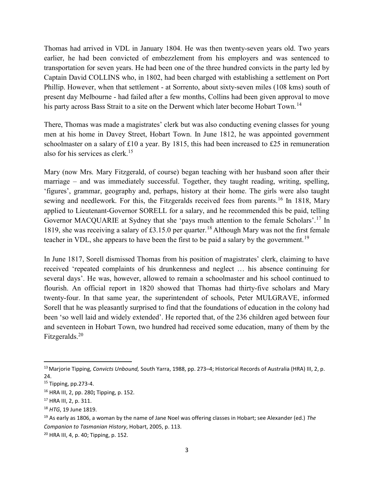Thomas had arrived in VDL in January 1804. He was then twenty-seven years old. Two years earlier, he had been convicted of embezzlement from his employers and was sentenced to transportation for seven years. He had been one of the three hundred convicts in the party led by Captain David COLLINS who, in 1802, had been charged with establishing a settlement on Port Phillip. However, when that settlement - at Sorrento, about sixty-seven miles (108 kms) south of present day Melbourne - had failed after a few months, Collins had been given approval to move his party across Bass Strait to a site on the Derwent which later become Hobart Town.<sup>14</sup>

There, Thomas was made a magistrates' clerk but was also conducting evening classes for young men at his home in Davey Street, Hobart Town. In June 1812, he was appointed government schoolmaster on a salary of £10 a year. By 1815, this had been increased to £25 in remuneration also for his services as clerk.<sup>15</sup>

Mary (now Mrs. Mary Fitzgerald, of course) began teaching with her husband soon after their marriage – and was immediately successful. Together, they taught reading, writing, spelling, 'figures', grammar, geography and, perhaps, history at their home. The girls were also taught sewing and needlework. For this, the Fitzgeralds received fees from parents.<sup>16</sup> In 1818, Mary applied to Lieutenant-Governor SORELL for a salary, and he recommended this be paid, telling Governor MACQUARIE at Sydney that she 'pays much attention to the female Scholars'.<sup>17</sup> In 1819, she was receiving a salary of £3.15.0 per quarter.<sup>18</sup>Although Mary was not the first female teacher in VDL, she appears to have been the first to be paid a salary by the government.<sup>19</sup>

In June 1817, Sorell dismissed Thomas from his position of magistrates' clerk, claiming to have received 'repeated complaints of his drunkenness and neglect … his absence continuing for several days'. He was, however, allowed to remain a schoolmaster and his school continued to flourish. An official report in 1820 showed that Thomas had thirty-five scholars and Mary twenty-four. In that same year, the superintendent of schools, Peter MULGRAVE, informed Sorell that he was pleasantly surprised to find that the foundations of education in the colony had been 'so well laid and widely extended'. He reported that, of the 236 children aged between four and seventeen in Hobart Town, two hundred had received some education, many of them by the Fitzgeralds.<sup>20</sup>

 $\overline{a}$ 

<sup>&</sup>lt;sup>13</sup> Marjorie Tipping, Convicts Unbound, South Yarra, 1988, pp. 273–4; Historical Records of Australia (HRA) III, 2, p. 24.

<sup>15</sup> Tipping, pp.273-4.

<sup>16</sup> HRA III, 2, pp. 280; Tipping, p. 152.

<sup>17</sup> HRA III, 2, p. 311.

<sup>&</sup>lt;sup>18</sup> HTG, 19 June 1819.

<sup>&</sup>lt;sup>19</sup> As early as 1806, a woman by the name of Jane Noel was offering classes in Hobart; see Alexander (ed.) The Companion to Tasmanian History, Hobart, 2005, p. 113.

<sup>20</sup> HRA III, 4, p. 40; Tipping, p. 152.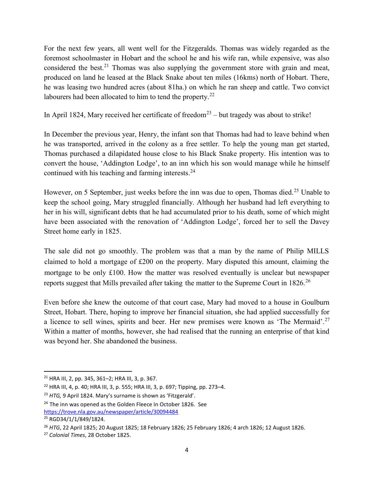For the next few years, all went well for the Fitzgeralds. Thomas was widely regarded as the foremost schoolmaster in Hobart and the school he and his wife ran, while expensive, was also considered the best.<sup>21</sup> Thomas was also supplying the government store with grain and meat, produced on land he leased at the Black Snake about ten miles (16kms) north of Hobart. There, he was leasing two hundred acres (about 81ha.) on which he ran sheep and cattle. Two convict labourers had been allocated to him to tend the property.<sup>22</sup>

In April 1824, Mary received her certificate of freedom<sup>23</sup> – but tragedy was about to strike!

In December the previous year, Henry, the infant son that Thomas had had to leave behind when he was transported, arrived in the colony as a free settler. To help the young man get started, Thomas purchased a dilapidated house close to his Black Snake property. His intention was to convert the house, 'Addington Lodge', to an inn which his son would manage while he himself continued with his teaching and farming interests. $24$ 

However, on 5 September, just weeks before the inn was due to open, Thomas died.<sup>25</sup> Unable to keep the school going, Mary struggled financially. Although her husband had left everything to her in his will, significant debts that he had accumulated prior to his death, some of which might have been associated with the renovation of 'Addington Lodge', forced her to sell the Davey Street home early in 1825.

The sale did not go smoothly. The problem was that a man by the name of Philip MILLS claimed to hold a mortgage of £200 on the property. Mary disputed this amount, claiming the mortgage to be only £100. How the matter was resolved eventually is unclear but newspaper reports suggest that Mills prevailed after taking the matter to the Supreme Court in 1826.<sup>26</sup>

Even before she knew the outcome of that court case, Mary had moved to a house in Goulburn Street, Hobart. There, hoping to improve her financial situation, she had applied successfully for a licence to sell wines, spirits and beer. Her new premises were known as 'The Mermaid'.<sup>27</sup> Within a matter of months, however, she had realised that the running an enterprise of that kind was beyond her. She abandoned the business.

 $\overline{a}$ 

<sup>21</sup> HRA III, 2, pp. 345, 361–2; HRA III, 3, p. 367.

<sup>22</sup> HRA III, 4, p. 40; HRA III, 3, p. 555; HRA III, 3, p. 697; Tipping, pp. 273–4.

<sup>&</sup>lt;sup>23</sup> HTG, 9 April 1824. Mary's surname is shown as 'Fitzgerald'.

 $24$  The inn was opened as the Golden Fleece In October 1826. See https://trove.nla.gov.au/newspaper/article/30094484

<sup>25</sup> RGD34/1/1/849/1824.

<sup>26</sup> HTG, 22 April 1825; 20 August 1825; 18 February 1826; 25 February 1826; 4 arch 1826; 12 August 1826.

<sup>27</sup> Colonial Times, 28 October 1825.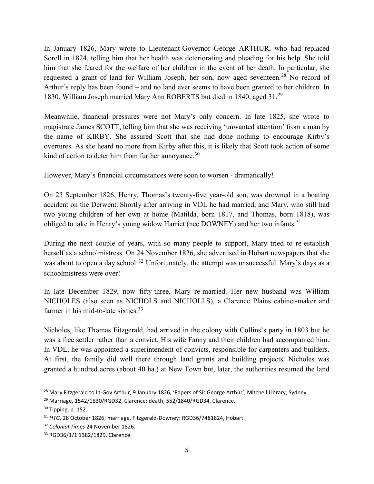In January 1826, Mary wrote to Lieutenant-Governor George ARTHUR, who had replaced Sorell in 1824, telling him that her health was deteriorating and pleading for his help. She told him that she feared for the welfare of her children in the event of her death. In particular, she requested a grant of land for William Joseph, her son, now aged seventeen.<sup>28</sup> No record of Arthur's reply has been found – and no land ever seems to have been granted to her children. In 1830, William Joseph married Mary Ann ROBERTS but died in 1840, aged 31.<sup>29</sup>

Meanwhile, financial pressures were not Mary's only concern. In late 1825, she wrote to magistrate James SCOTT, telling him that she was receiving 'unwanted attention' from a man by the name of KIRBY. She assured Scott that she had done nothing to encourage Kirby's overtures. As she heard no more from Kirby after this, it is likely that Scott took action of some kind of action to deter him from further annoyance.<sup>30</sup>

However, Mary's financial circumstances were soon to worsen - dramatically!

On 25 September 1826, Henry, Thomas's twenty-five year-old son, was drowned in a boating accident on the Derwent. Shortly after arriving in VDL he had married, and Mary, who still had two young children of her own at home (Matilda, born 1817, and Thomas, born 1818), was obliged to take in Henry's young widow Harriet (nee DOWNEY) and her two infants.<sup>31</sup>

During the next couple of years, with so many people to support, Mary tried to re-establish herself as a schoolmistress. On 24 November 1826, she advertised in Hobart newspapers that she was about to open a day school.<sup>32</sup> Unfortunately, the attempt was unsuccessful. Mary's days as a schoolmistress were over!

In late December 1829, now fifty-three, Mary re-married. Her new husband was William NICHOLES (also seen as NICHOLS and NICHOLLS), a Clarence Plains cabinet-maker and farmer in his mid-to-late sixties.<sup>33</sup>

Nicholes, like Thomas Fitzgerald, had arrived in the colony with Collins's party in 1803 but he was a free settler rather than a convict. His wife Fanny and their children had accompanied him. In VDL, he was appointed a superintendent of convicts, responsible for carpenters and builders. At first, the family did well there through land grants and building projects. Nicholes was granted a hundred acres (about 40 ha.) at New Town but, later, the authorities resumed the land

<sup>&</sup>lt;sup>28</sup> Mary Fitzgerald to Lt-Gov Arthur, 9 January 1826, 'Papers of Sir George Arthur', Mitchell Library, Sydney.

<sup>&</sup>lt;sup>29</sup> Marriage, 1542/1830/RGD32, Clarence; death, 552/1840/RGD34, Clarence.

 $30$  Tipping, p. 152.

<sup>&</sup>lt;sup>31</sup> HTG, 28 October 1826; marriage, Fitzgerald-Downey: RGD36/7481824, Hobart.

<sup>&</sup>lt;sup>32</sup> Colonial Times 24 November 1826.

<sup>33</sup> RGD36/1/1 1382/1829, Clarence.